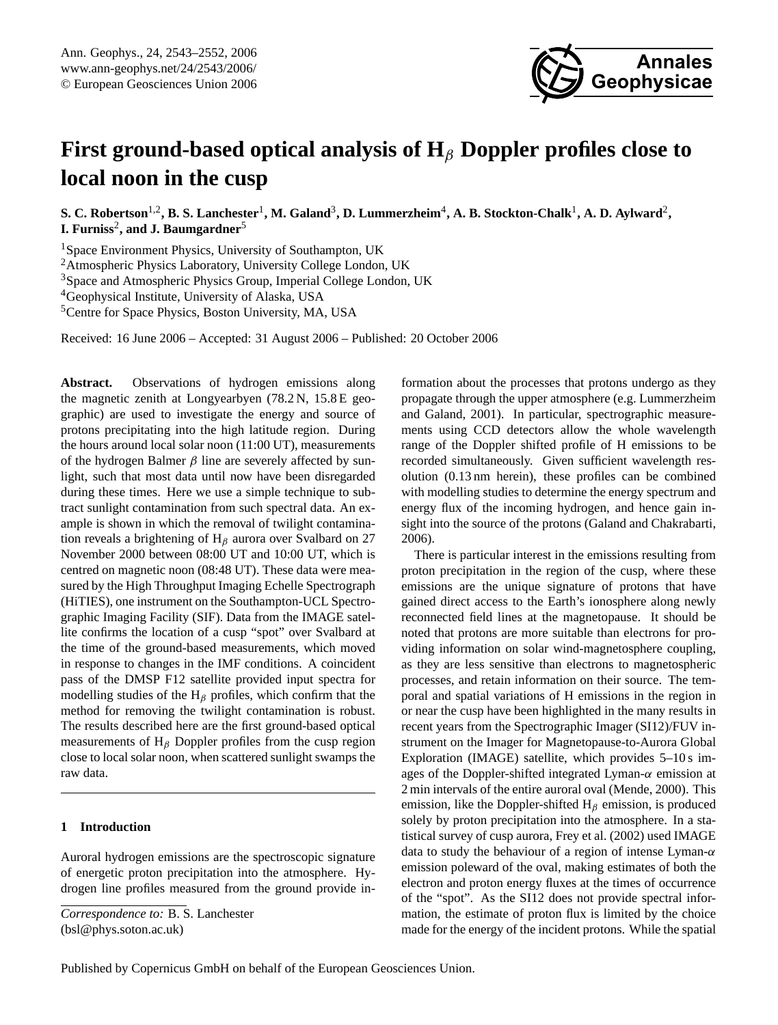# **First ground-based optical analysis of H**<sup>β</sup> **Doppler profiles close to local noon in the cusp**

 ${\bf S.~C.~R}$ obertson $^{1,2}$ ,  ${\bf B.~S.~L}$ anchester $^{1}$ ,  ${\bf M.~Galand}^3$ ,  ${\bf D.~Lummerzheim}^4, {\bf A.~B.~Stockton-Chalk}^1, {\bf A.~D.~Aylward}^2,$ **I. Furniss<sup>2</sup>, and J. Baumgardner<sup>5</sup>** 

<sup>1</sup>Space Environment Physics, University of Southampton, UK

<sup>2</sup>Atmospheric Physics Laboratory, University College London, UK

<sup>3</sup>Space and Atmospheric Physics Group, Imperial College London, UK

<sup>4</sup>Geophysical Institute, University of Alaska, USA

<sup>5</sup>Centre for Space Physics, Boston University, MA, USA

Received: 16 June 2006 – Accepted: 31 August 2006 – Published: 20 October 2006

**Abstract.** Observations of hydrogen emissions along the magnetic zenith at Longyearbyen (78.2 N, 15.8 E geographic) are used to investigate the energy and source of protons precipitating into the high latitude region. During the hours around local solar noon (11:00 UT), measurements of the hydrogen Balmer  $\beta$  line are severely affected by sunlight, such that most data until now have been disregarded during these times. Here we use a simple technique to subtract sunlight contamination from such spectral data. An example is shown in which the removal of twilight contamination reveals a brightening of  $H_\beta$  aurora over Svalbard on 27 November 2000 between 08:00 UT and 10:00 UT, which is centred on magnetic noon (08:48 UT). These data were measured by the High Throughput Imaging Echelle Spectrograph (HiTIES), one instrument on the Southampton-UCL Spectrographic Imaging Facility (SIF). Data from the IMAGE satellite confirms the location of a cusp "spot" over Svalbard at the time of the ground-based measurements, which moved in response to changes in the IMF conditions. A coincident pass of the DMSP F12 satellite provided input spectra for modelling studies of the  $H_\beta$  profiles, which confirm that the method for removing the twilight contamination is robust. The results described here are the first ground-based optical measurements of  $H_\beta$  Doppler profiles from the cusp region close to local solar noon, when scattered sunlight swamps the raw data.

# **1 Introduction**

Auroral hydrogen emissions are the spectroscopic signature of energetic proton precipitation into the atmosphere. Hydrogen line profiles measured from the ground provide information about the processes that protons undergo as they propagate through the upper atmosphere (e.g. [Lummerzheim](#page-9-0) [and Galand,](#page-9-0) [2001\)](#page-9-0). In particular, spectrographic measurements using CCD detectors allow the whole wavelength range of the Doppler shifted profile of H emissions to be recorded simultaneously. Given sufficient wavelength resolution (0.13 nm herein), these profiles can be combined with modelling studies to determine the energy spectrum and energy flux of the incoming hydrogen, and hence gain insight into the source of the protons [\(Galand and Chakrabarti,](#page-9-1) [2006\)](#page-9-1).

**Annales**

**Geophysicae**

There is particular interest in the emissions resulting from proton precipitation in the region of the cusp, where these emissions are the unique signature of protons that have gained direct access to the Earth's ionosphere along newly reconnected field lines at the magnetopause. It should be noted that protons are more suitable than electrons for providing information on solar wind-magnetosphere coupling, as they are less sensitive than electrons to magnetospheric processes, and retain information on their source. The temporal and spatial variations of H emissions in the region in or near the cusp have been highlighted in the many results in recent years from the Spectrographic Imager (SI12)/FUV instrument on the Imager for Magnetopause-to-Aurora Global Exploration (IMAGE) satellite, which provides 5–10 s images of the Doppler-shifted integrated Lyman- $\alpha$  emission at 2 min intervals of the entire auroral oval [\(Mende,](#page-9-2) [2000\)](#page-9-2). This emission, like the Doppler-shifted  $H_\beta$  emission, is produced solely by proton precipitation into the atmosphere. In a statistical survey of cusp aurora, [Frey et al.](#page-9-3) [\(2002\)](#page-9-3) used IMAGE data to study the behaviour of a region of intense Lyman- $\alpha$ emission poleward of the oval, making estimates of both the electron and proton energy fluxes at the times of occurrence of the "spot". As the SI12 does not provide spectral information, the estimate of proton flux is limited by the choice made for the energy of the incident protons. While the spatial

<span id="page-0-0"></span>*Correspondence to:* B. S. Lanchester (bsl@phys.soton.ac.uk)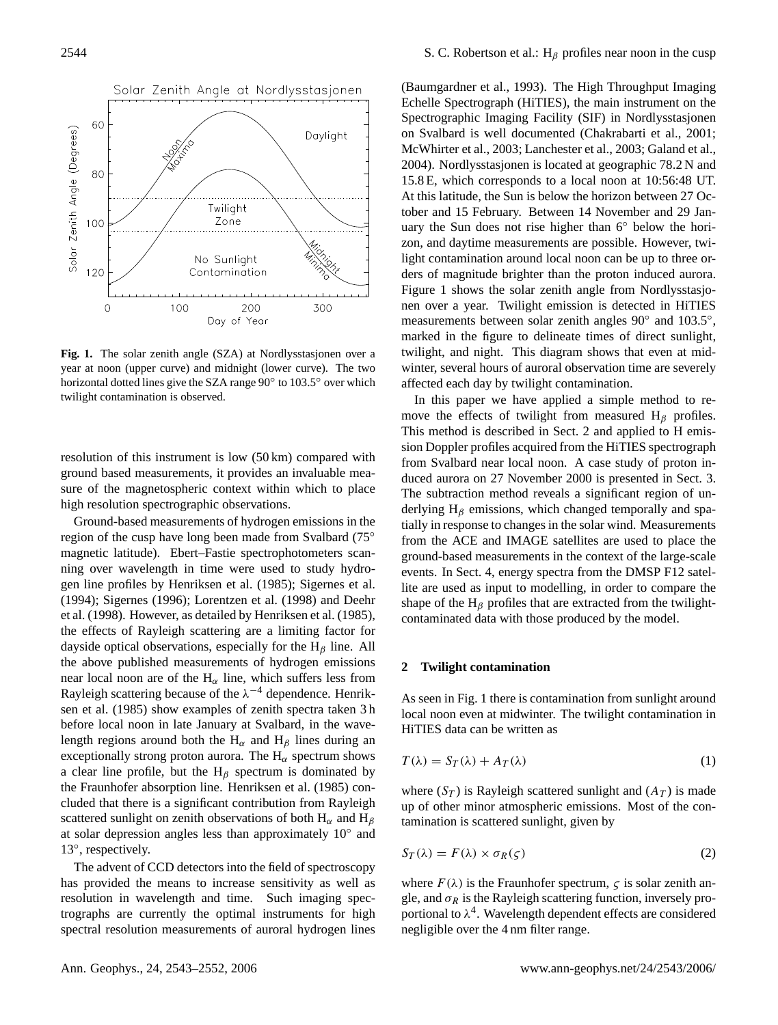

<span id="page-1-0"></span>**Fig. 1.** The solar zenith angle (SZA) at Nordlysstasjonen over a year at noon (upper curve) and midnight (lower curve). The two horizontal dotted lines give the SZA range 90◦ to 103.5◦ over which twilight contamination is observed.

resolution of this instrument is low (50 km) compared with ground based measurements, it provides an invaluable measure of the magnetospheric context within which to place high resolution spectrographic observations.

Ground-based measurements of hydrogen emissions in the region of the cusp have long been made from Svalbard (75◦ magnetic latitude). Ebert–Fastie spectrophotometers scanning over wavelength in time were used to study hydrogen line profiles by [Henriksen et al.](#page-9-4) [\(1985\)](#page-9-4); [Sigernes et al.](#page-9-5) [\(1994\)](#page-9-5); [Sigernes](#page-9-6) [\(1996\)](#page-9-6); [Lorentzen et al.](#page-9-7) [\(1998\)](#page-9-7) and [Deehr](#page-9-8) [et al.](#page-9-8) [\(1998\)](#page-9-8). However, as detailed by [Henriksen et al.](#page-9-4) [\(1985\)](#page-9-4), the effects of Rayleigh scattering are a limiting factor for dayside optical observations, especially for the  $H_\beta$  line. All the above published measurements of hydrogen emissions near local noon are of the  $H_{\alpha}$  line, which suffers less from Rayleigh scattering because of the  $\lambda^{-4}$  dependence. [Henrik](#page-9-4)[sen et al.](#page-9-4) [\(1985\)](#page-9-4) show examples of zenith spectra taken 3 h before local noon in late January at Svalbard, in the wavelength regions around both the H<sub>α</sub> and H<sub>β</sub> lines during an exceptionally strong proton aurora. The  $H_{\alpha}$  spectrum shows a clear line profile, but the  $H_\beta$  spectrum is dominated by the Fraunhofer absorption line. [Henriksen et al.](#page-9-4) [\(1985\)](#page-9-4) concluded that there is a significant contribution from Rayleigh scattered sunlight on zenith observations of both  $H_{\alpha}$  and  $H_{\beta}$ at solar depression angles less than approximately 10° and 13°, respectively.

The advent of CCD detectors into the field of spectroscopy has provided the means to increase sensitivity as well as resolution in wavelength and time. Such imaging spectrographs are currently the optimal instruments for high spectral resolution measurements of auroral hydrogen lines

[\(Baumgardner et al.,](#page-9-9) [1993\)](#page-9-9). The High Throughput Imaging Echelle Spectrograph (HiTIES), the main instrument on the Spectrographic Imaging Facility (SIF) in Nordlysstasjonen on Svalbard is well documented [\(Chakrabarti et al.,](#page-9-10) [2001;](#page-9-10) [McWhirter et al.,](#page-9-11) [2003;](#page-9-11) [Lanchester et al.,](#page-9-12) [2003;](#page-9-12) [Galand et al.,](#page-9-13) [2004\)](#page-9-13). Nordlysstasjonen is located at geographic 78.2 N and 15.8 E, which corresponds to a local noon at 10:56:48 UT. At this latitude, the Sun is below the horizon between 27 October and 15 February. Between 14 November and 29 January the Sun does not rise higher than 6° below the horizon, and daytime measurements are possible. However, twilight contamination around local noon can be up to three orders of magnitude brighter than the proton induced aurora. Figure [1](#page-1-0) shows the solar zenith angle from Nordlysstasjonen over a year. Twilight emission is detected in HiTIES measurements between solar zenith angles 90° and 103.5°, marked in the figure to delineate times of direct sunlight, twilight, and night. This diagram shows that even at midwinter, several hours of auroral observation time are severely affected each day by twilight contamination.

In this paper we have applied a simple method to remove the effects of twilight from measured  $H_\beta$  profiles. This method is described in Sect. [2](#page-1-1) and applied to H emission Doppler profiles acquired from the HiTIES spectrograph from Svalbard near local noon. A case study of proton induced aurora on 27 November 2000 is presented in Sect. [3.](#page-3-0) The subtraction method reveals a significant region of underlying  $H_\beta$  emissions, which changed temporally and spatially in response to changes in the solar wind. Measurements from the ACE and IMAGE satellites are used to place the ground-based measurements in the context of the large-scale events. In Sect. [4,](#page-5-0) energy spectra from the DMSP F12 satellite are used as input to modelling, in order to compare the shape of the  $H_\beta$  profiles that are extracted from the twilightcontaminated data with those produced by the model.

#### <span id="page-1-1"></span>**2 Twilight contamination**

As seen in Fig. [1](#page-1-0) there is contamination from sunlight around local noon even at midwinter. The twilight contamination in HiTIES data can be written as

$$
T(\lambda) = S_T(\lambda) + A_T(\lambda)
$$
 (1)

where  $(S_T)$  is Rayleigh scattered sunlight and  $(A_T)$  is made up of other minor atmospheric emissions. Most of the contamination is scattered sunlight, given by

$$
S_T(\lambda) = F(\lambda) \times \sigma_R(\varsigma)
$$
 (2)

where  $F(\lambda)$  is the Fraunhofer spectrum,  $\zeta$  is solar zenith angle, and  $\sigma_R$  is the Rayleigh scattering function, inversely proportional to  $\lambda^4$ . Wavelength dependent effects are considered negligible over the 4 nm filter range.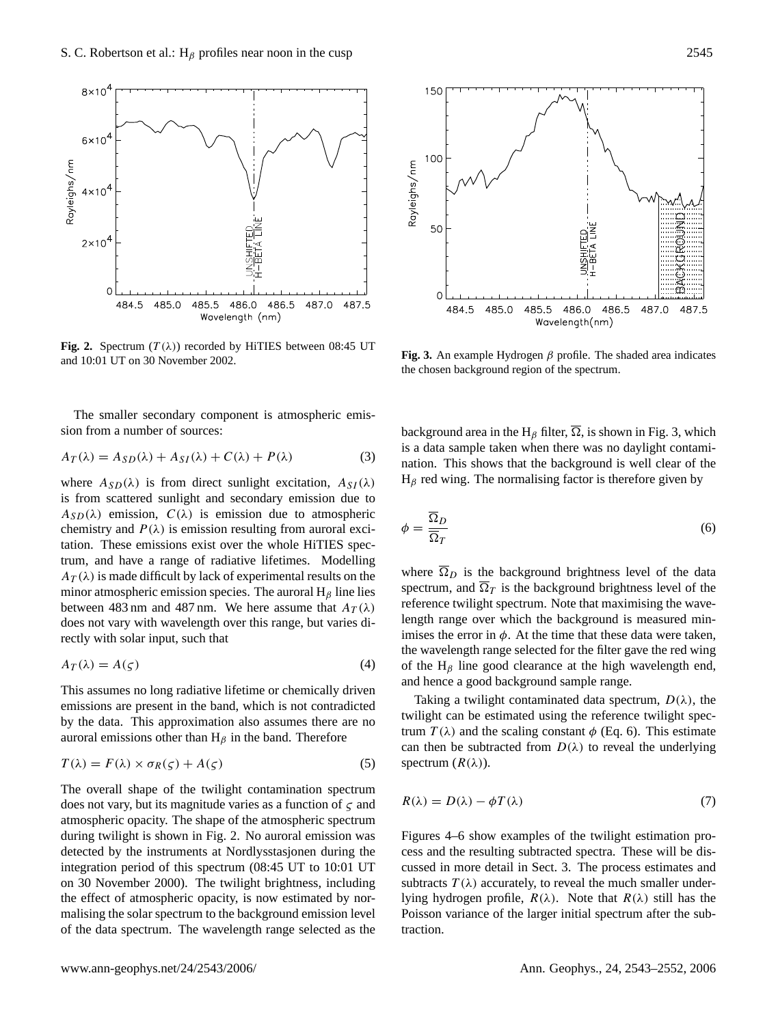

<span id="page-2-0"></span>**Fig. 2.** Spectrum  $(T(\lambda))$  recorded by HiTIES between 08:45 UT and 10:01 UT on 30 November 2002.



$$
A_T(\lambda) = A_{SD}(\lambda) + A_{SI}(\lambda) + C(\lambda) + P(\lambda)
$$
\n(3)

where  $A_{SD}(\lambda)$  is from direct sunlight excitation,  $A_{SI}(\lambda)$ is from scattered sunlight and secondary emission due to  $A_{SD}(\lambda)$  emission,  $C(\lambda)$  is emission due to atmospheric chemistry and  $P(\lambda)$  is emission resulting from auroral excitation. These emissions exist over the whole HiTIES spectrum, and have a range of radiative lifetimes. Modelling  $A_T(\lambda)$  is made difficult by lack of experimental results on the minor atmospheric emission species. The auroral  $H_\beta$  line lies between 483 nm and 487 nm. We here assume that  $A_T(\lambda)$ does not vary with wavelength over this range, but varies directly with solar input, such that

$$
A_T(\lambda) = A(\zeta) \tag{4}
$$

This assumes no long radiative lifetime or chemically driven emissions are present in the band, which is not contradicted by the data. This approximation also assumes there are no auroral emissions other than  $H_\beta$  in the band. Therefore

$$
T(\lambda) = F(\lambda) \times \sigma_R(\varsigma) + A(\varsigma)
$$
\n(5)

The overall shape of the twilight contamination spectrum does not vary, but its magnitude varies as a function of  $\zeta$  and atmospheric opacity. The shape of the atmospheric spectrum during twilight is shown in Fig. [2.](#page-2-0) No auroral emission was detected by the instruments at Nordlysstasjonen during the integration period of this spectrum (08:45 UT to 10:01 UT on 30 November 2000). The twilight brightness, including the effect of atmospheric opacity, is now estimated by normalising the solar spectrum to the background emission level of the data spectrum. The wavelength range selected as the



<span id="page-2-1"></span>**Fig. 3.** An example Hydrogen  $\beta$  profile. The shaded area indicates the chosen background region of the spectrum.

background area in the H<sub>β</sub> filter,  $\overline{\Omega}$ , is shown in Fig. [3,](#page-2-1) which is a data sample taken when there was no daylight contamination. This shows that the background is well clear of the  $H_\beta$  red wing. The normalising factor is therefore given by

<span id="page-2-2"></span>
$$
\phi = \frac{\Omega_D}{\overline{\Omega}_T} \tag{6}
$$

where  $\overline{\Omega}_D$  is the background brightness level of the data spectrum, and  $\overline{\Omega}_T$  is the background brightness level of the reference twilight spectrum. Note that maximising the wavelength range over which the background is measured minimises the error in  $\phi$ . At the time that these data were taken, the wavelength range selected for the filter gave the red wing of the  $H_\beta$  line good clearance at the high wavelength end, and hence a good background sample range.

Taking a twilight contaminated data spectrum,  $D(\lambda)$ , the twilight can be estimated using the reference twilight spectrum  $T(\lambda)$  and the scaling constant  $\phi$  (Eq. [6\)](#page-2-2). This estimate can then be subtracted from  $D(\lambda)$  to reveal the underlying spectrum  $(R(\lambda))$ .

$$
R(\lambda) = D(\lambda) - \phi T(\lambda) \tag{7}
$$

Figures [4–](#page-3-1)[6](#page-4-0) show examples of the twilight estimation process and the resulting subtracted spectra. These will be discussed in more detail in Sect. [3.](#page-3-0) The process estimates and subtracts  $T(\lambda)$  accurately, to reveal the much smaller underlying hydrogen profile,  $R(\lambda)$ . Note that  $R(\lambda)$  still has the Poisson variance of the larger initial spectrum after the subtraction.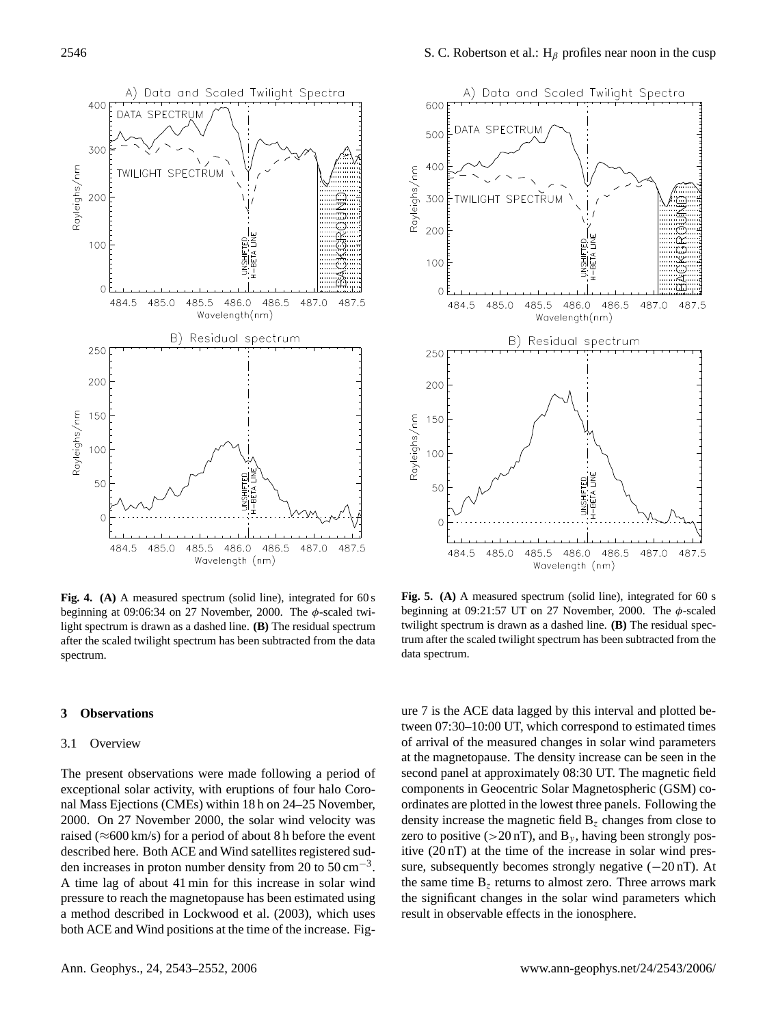

<span id="page-3-1"></span>**Fig. 4. (A)** A measured spectrum (solid line), integrated for 60 s beginning at 09:06:34 on 27 November, 2000. The  $\phi$ -scaled twilight spectrum is drawn as a dashed line. **(B)** The residual spectrum after the scaled twilight spectrum has been subtracted from the data spectrum.

#### <span id="page-3-0"></span>**3 Observations**

#### 3.1 Overview

The present observations were made following a period of exceptional solar activity, with eruptions of four halo Coronal Mass Ejections (CMEs) within 18 h on 24–25 November, 2000. On 27 November 2000, the solar wind velocity was raised ( $\approx$  600 km/s) for a period of about 8 h before the event described here. Both ACE and Wind satellites registered sudden increases in proton number density from 20 to  $50 \text{ cm}^{-3}$ . A time lag of about 41 min for this increase in solar wind pressure to reach the magnetopause has been estimated using a method described in [Lockwood et al.](#page-9-14) [\(2003\)](#page-9-14), which uses both ACE and Wind positions at the time of the increase. Fig-



**Fig. 5. (A)** A measured spectrum (solid line), integrated for 60 s beginning at 09:21:57 UT on 27 November, 2000. The  $\phi$ -scaled twilight spectrum is drawn as a dashed line. **(B)** The residual spectrum after the scaled twilight spectrum has been subtracted from the data spectrum.

ure [7](#page-4-1) is the ACE data lagged by this interval and plotted between 07:30–10:00 UT, which correspond to estimated times of arrival of the measured changes in solar wind parameters at the magnetopause. The density increase can be seen in the second panel at approximately 08:30 UT. The magnetic field components in Geocentric Solar Magnetospheric (GSM) coordinates are plotted in the lowest three panels. Following the density increase the magnetic field  $B<sub>z</sub>$  changes from close to zero to positive ( $>20$  nT), and B<sub>y</sub>, having been strongly positive (20 nT) at the time of the increase in solar wind pressure, subsequently becomes strongly negative  $(-20 \text{ nT})$ . At the same time  $B_z$  returns to almost zero. Three arrows mark the significant changes in the solar wind parameters which result in observable effects in the ionosphere.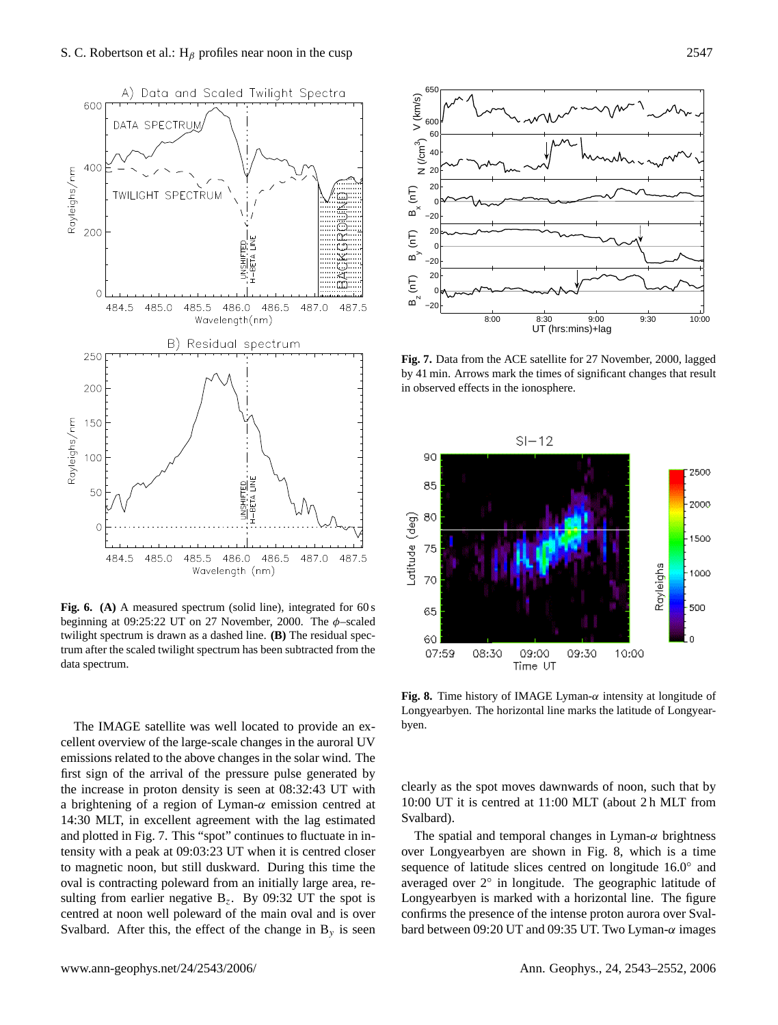

<span id="page-4-0"></span>Fig. 6. (A) A measured spectrum (solid line), integrated for 60 s beginning at 09:25:22 UT on 27 November, 2000. The  $\phi$ -scaled twilight spectrum is drawn as a dashed line. **(B)** The residual spectrum after the scaled twilight spectrum has been subtracted from the data spectrum.

The IMAGE satellite was well located to provide an excellent overview of the large-scale changes in the auroral UV emissions related to the above changes in the solar wind. The first sign of the arrival of the pressure pulse generated by the increase in proton density is seen at 08:32:43 UT with a brightening of a region of Lyman- $\alpha$  emission centred at 14:30 MLT, in excellent agreement with the lag estimated and plotted in Fig. [7.](#page-4-1) This "spot" continues to fluctuate in intensity with a peak at 09:03:23 UT when it is centred closer to magnetic noon, but still duskward. During this time the oval is contracting poleward from an initially large area, resulting from earlier negative  $B_z$ . By 09:32 UT the spot is centred at noon well poleward of the main oval and is over Svalbard. After this, the effect of the change in  $B_y$  is seen



<span id="page-4-1"></span>**Fig. 7.** Data from the ACE satellite for 27 November, 2000, lagged by 41 min. Arrows mark the times of significant changes that result in observed effects in the ionosphere.



<span id="page-4-2"></span>**Fig. 8.** Time history of IMAGE Lyman-α intensity at longitude of Longyearbyen. The horizontal line marks the latitude of Longyearbyen.

clearly as the spot moves dawnwards of noon, such that by 10:00 UT it is centred at 11:00 MLT (about 2 h MLT from Svalbard).

The spatial and temporal changes in Lyman- $\alpha$  brightness over Longyearbyen are shown in Fig. [8,](#page-4-2) which is a time sequence of latitude slices centred on longitude 16.0° and averaged over 2◦ in longitude. The geographic latitude of Longyearbyen is marked with a horizontal line. The figure confirms the presence of the intense proton aurora over Svalbard between 09:20 UT and 09:35 UT. Two Lyman- $\alpha$  images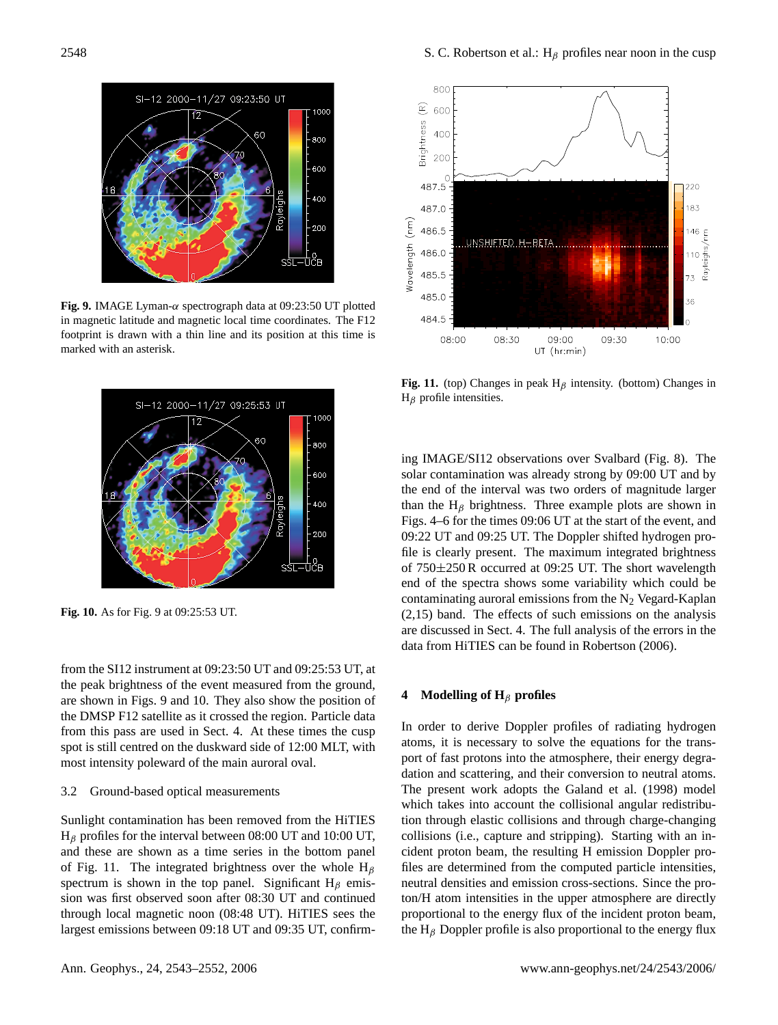

<span id="page-5-1"></span>**Fig. 9.** IMAGE Lyman-α spectrograph data at 09:23:50 UT plotted in magnetic latitude and magnetic local time coordinates. The F12 footprint is drawn with a thin line and its position at this time is marked with an asterisk.



<span id="page-5-2"></span>**Fig. 10.** As for Fig. [9](#page-5-1) at 09:25:53 UT.

from the SI12 instrument at 09:23:50 UT and 09:25:53 UT, at the peak brightness of the event measured from the ground, are shown in Figs. [9](#page-5-1) and [10.](#page-5-2) They also show the position of the DMSP F12 satellite as it crossed the region. Particle data from this pass are used in Sect. [4.](#page-5-0) At these times the cusp spot is still centred on the duskward side of 12:00 MLT, with most intensity poleward of the main auroral oval.

## 3.2 Ground-based optical measurements

Sunlight contamination has been removed from the HiTIES  $H_\beta$  profiles for the interval between 08:00 UT and 10:00 UT, and these are shown as a time series in the bottom panel of Fig. [11.](#page-5-3) The integrated brightness over the whole  $H_\beta$ spectrum is shown in the top panel. Significant  $H_\beta$  emission was first observed soon after 08:30 UT and continued through local magnetic noon (08:48 UT). HiTIES sees the largest emissions between 09:18 UT and 09:35 UT, confirm-



<span id="page-5-3"></span>**Fig. 11.** (top) Changes in peak  $H_\beta$  intensity. (bottom) Changes in  $H_\beta$  profile intensities.

ing IMAGE/SI12 observations over Svalbard (Fig. [8\)](#page-4-2). The solar contamination was already strong by 09:00 UT and by the end of the interval was two orders of magnitude larger than the  $H_\beta$  brightness. Three example plots are shown in Figs. [4](#page-3-1)[–6](#page-4-0) for the times 09:06 UT at the start of the event, and 09:22 UT and 09:25 UT. The Doppler shifted hydrogen profile is clearly present. The maximum integrated brightness of 750±250 R occurred at 09:25 UT. The short wavelength end of the spectra shows some variability which could be contaminating auroral emissions from the  $N_2$  Vegard-Kaplan (2,15) band. The effects of such emissions on the analysis are discussed in Sect. [4.](#page-5-0) The full analysis of the errors in the data from HiTIES can be found in [Robertson](#page-9-15) [\(2006\)](#page-9-15).

# <span id="page-5-0"></span>**4 Modelling of H**<sup>β</sup> **profiles**

In order to derive Doppler profiles of radiating hydrogen atoms, it is necessary to solve the equations for the transport of fast protons into the atmosphere, their energy degradation and scattering, and their conversion to neutral atoms. The present work adopts the [Galand et al.](#page-9-16) [\(1998\)](#page-9-16) model which takes into account the collisional angular redistribution through elastic collisions and through charge-changing collisions (i.e., capture and stripping). Starting with an incident proton beam, the resulting H emission Doppler profiles are determined from the computed particle intensities, neutral densities and emission cross-sections. Since the proton/H atom intensities in the upper atmosphere are directly proportional to the energy flux of the incident proton beam, the  $H_\beta$  Doppler profile is also proportional to the energy flux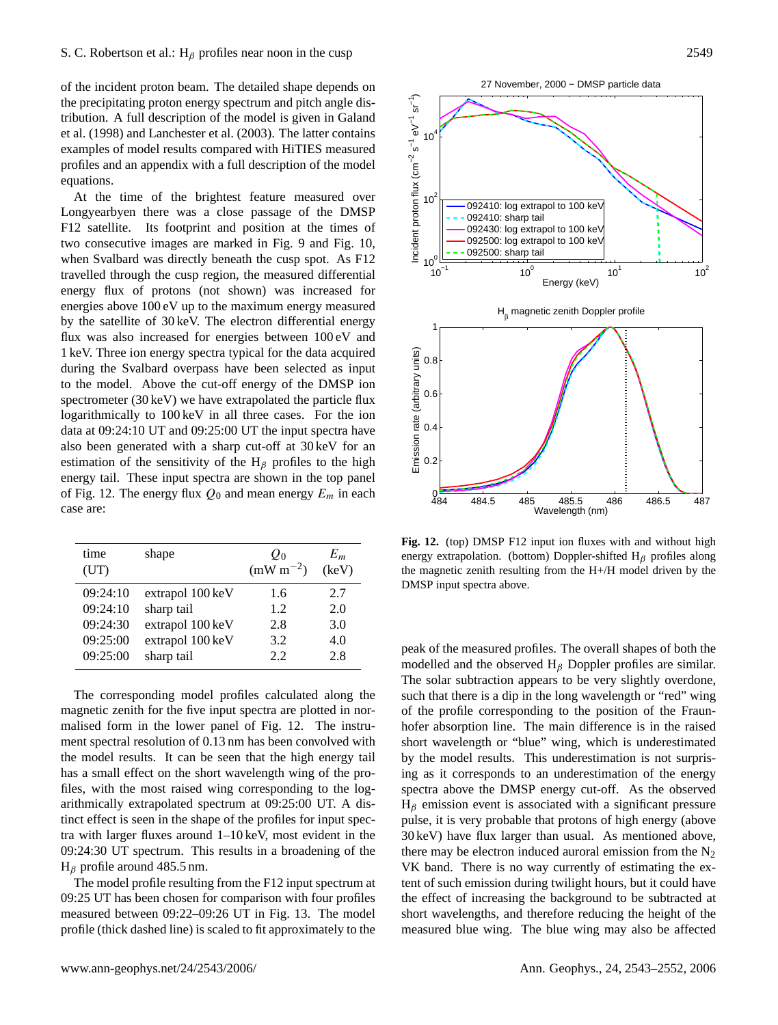of the incident proton beam. The detailed shape depends on the precipitating proton energy spectrum and pitch angle distribution. A full description of the model is given in [Galand](#page-9-16) [et al.](#page-9-16) [\(1998\)](#page-9-16) and [Lanchester et al.](#page-9-12) [\(2003\)](#page-9-12). The latter contains examples of model results compared with HiTIES measured profiles and an appendix with a full description of the model equations.

At the time of the brightest feature measured over Longyearbyen there was a close passage of the DMSP F12 satellite. Its footprint and position at the times of two consecutive images are marked in Fig. [9](#page-5-1) and Fig. [10,](#page-5-2) when Svalbard was directly beneath the cusp spot. As F12 travelled through the cusp region, the measured differential energy flux of protons (not shown) was increased for energies above 100 eV up to the maximum energy measured by the satellite of 30 keV. The electron differential energy flux was also increased for energies between 100 eV and 1 keV. Three ion energy spectra typical for the data acquired during the Svalbard overpass have been selected as input to the model. Above the cut-off energy of the DMSP ion spectrometer (30 keV) we have extrapolated the particle flux logarithmically to 100 keV in all three cases. For the ion data at 09:24:10 UT and 09:25:00 UT the input spectra have also been generated with a sharp cut-off at 30 keV for an estimation of the sensitivity of the  $H_\beta$  profiles to the high energy tail. These input spectra are shown in the top panel of Fig. [12.](#page-6-0) The energy flux  $Q_0$  and mean energy  $E_m$  in each case are:

| time     | shape            | $O_0$         | $E_m$ |
|----------|------------------|---------------|-------|
| (UT)     |                  | $(mW m^{-2})$ | (keV) |
| 09:24:10 | extrapol 100 keV | 1.6           | 2.7   |
| 09:24:10 | sharp tail       | 1.2.          | 2.0   |
| 09:24:30 | extrapol 100 keV | 2.8           | 3.0   |
| 09:25:00 | extrapol 100 keV | 3.2           | 4.0   |
| 09:25:00 | sharp tail       | 2.2           | 2.8   |

The corresponding model profiles calculated along the magnetic zenith for the five input spectra are plotted in normalised form in the lower panel of Fig. [12.](#page-6-0) The instrument spectral resolution of 0.13 nm has been convolved with the model results. It can be seen that the high energy tail has a small effect on the short wavelength wing of the profiles, with the most raised wing corresponding to the logarithmically extrapolated spectrum at 09:25:00 UT. A distinct effect is seen in the shape of the profiles for input spectra with larger fluxes around 1–10 keV, most evident in the 09:24:30 UT spectrum. This results in a broadening of the  $H_\beta$  profile around 485.5 nm.

The model profile resulting from the F12 input spectrum at 09:25 UT has been chosen for comparison with four profiles measured between 09:22–09:26 UT in Fig. [13.](#page-7-0) The model profile (thick dashed line) is scaled to fit approximately to the



<span id="page-6-0"></span>**Fig. 12.** (top) DMSP F12 input ion fluxes with and without high energy extrapolation. (bottom) Doppler-shifted  $H_\beta$  profiles along the magnetic zenith resulting from the H+/H model driven by the DMSP input spectra above.

peak of the measured profiles. The overall shapes of both the modelled and the observed  $H_\beta$  Doppler profiles are similar. The solar subtraction appears to be very slightly overdone, such that there is a dip in the long wavelength or "red" wing of the profile corresponding to the position of the Fraunhofer absorption line. The main difference is in the raised short wavelength or "blue" wing, which is underestimated by the model results. This underestimation is not surprising as it corresponds to an underestimation of the energy spectra above the DMSP energy cut-off. As the observed  $H<sub>β</sub>$  emission event is associated with a significant pressure pulse, it is very probable that protons of high energy (above 30 keV) have flux larger than usual. As mentioned above, there may be electron induced auroral emission from the  $N_2$ VK band. There is no way currently of estimating the extent of such emission during twilight hours, but it could have the effect of increasing the background to be subtracted at short wavelengths, and therefore reducing the height of the measured blue wing. The blue wing may also be affected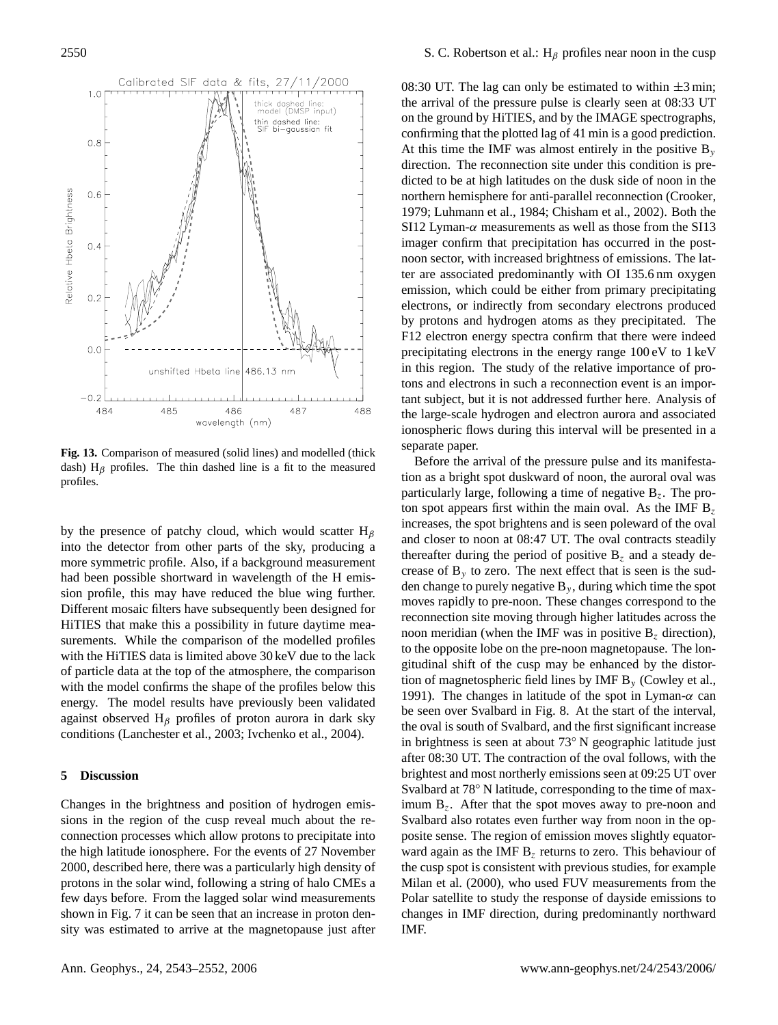

<span id="page-7-0"></span>**Fig. 13.** Comparison of measured (solid lines) and modelled (thick dash)  $H_\beta$  profiles. The thin dashed line is a fit to the measured profiles.

by the presence of patchy cloud, which would scatter  $H_\beta$ into the detector from other parts of the sky, producing a more symmetric profile. Also, if a background measurement had been possible shortward in wavelength of the H emission profile, this may have reduced the blue wing further. Different mosaic filters have subsequently been designed for HiTIES that make this a possibility in future daytime measurements. While the comparison of the modelled profiles with the HiTIES data is limited above 30 keV due to the lack of particle data at the top of the atmosphere, the comparison with the model confirms the shape of the profiles below this energy. The model results have previously been validated against observed  $H_\beta$  profiles of proton aurora in dark sky conditions [\(Lanchester et al.,](#page-9-12) [2003;](#page-9-12) [Ivchenko et al.,](#page-9-17) [2004\)](#page-9-17).

## **5 Discussion**

Changes in the brightness and position of hydrogen emissions in the region of the cusp reveal much about the reconnection processes which allow protons to precipitate into the high latitude ionosphere. For the events of 27 November 2000, described here, there was a particularly high density of protons in the solar wind, following a string of halo CMEs a few days before. From the lagged solar wind measurements shown in Fig. [7](#page-4-1) it can be seen that an increase in proton density was estimated to arrive at the magnetopause just after 08:30 UT. The lag can only be estimated to within  $\pm 3$  min; the arrival of the pressure pulse is clearly seen at 08:33 UT on the ground by HiTIES, and by the IMAGE spectrographs, confirming that the plotted lag of 41 min is a good prediction. At this time the IMF was almost entirely in the positive  $B_y$ direction. The reconnection site under this condition is predicted to be at high latitudes on the dusk side of noon in the northern hemisphere for anti-parallel reconnection [\(Crooker,](#page-9-18) [1979;](#page-9-18) [Luhmann et al.,](#page-9-19) [1984;](#page-9-19) [Chisham et al.,](#page-9-20) [2002\)](#page-9-20). Both the SI12 Lyman- $\alpha$  measurements as well as those from the SI13 imager confirm that precipitation has occurred in the postnoon sector, with increased brightness of emissions. The latter are associated predominantly with OI 135.6 nm oxygen emission, which could be either from primary precipitating electrons, or indirectly from secondary electrons produced by protons and hydrogen atoms as they precipitated. The F12 electron energy spectra confirm that there were indeed precipitating electrons in the energy range 100 eV to 1 keV in this region. The study of the relative importance of protons and electrons in such a reconnection event is an important subject, but it is not addressed further here. Analysis of the large-scale hydrogen and electron aurora and associated ionospheric flows during this interval will be presented in a separate paper.

Before the arrival of the pressure pulse and its manifestation as a bright spot duskward of noon, the auroral oval was particularly large, following a time of negative  $B_z$ . The proton spot appears first within the main oval. As the IMF  $B_7$ increases, the spot brightens and is seen poleward of the oval and closer to noon at 08:47 UT. The oval contracts steadily thereafter during the period of positive  $B_z$  and a steady decrease of  $B<sub>v</sub>$  to zero. The next effect that is seen is the sudden change to purely negative  $B_y$ , during which time the spot moves rapidly to pre-noon. These changes correspond to the reconnection site moving through higher latitudes across the noon meridian (when the IMF was in positive  $B_z$  direction), to the opposite lobe on the pre-noon magnetopause. The longitudinal shift of the cusp may be enhanced by the distortion of magnetospheric field lines by IMF  $B_y$  [\(Cowley et al.,](#page-9-21) [1991\)](#page-9-21). The changes in latitude of the spot in Lyman- $\alpha$  can be seen over Svalbard in Fig. [8.](#page-4-2) At the start of the interval, the oval is south of Svalbard, and the first significant increase in brightness is seen at about 73◦ N geographic latitude just after 08:30 UT. The contraction of the oval follows, with the brightest and most northerly emissions seen at 09:25 UT over Svalbard at 78° N latitude, corresponding to the time of maximum  $B<sub>z</sub>$ . After that the spot moves away to pre-noon and Svalbard also rotates even further way from noon in the opposite sense. The region of emission moves slightly equatorward again as the IMF  $B<sub>z</sub>$  returns to zero. This behaviour of the cusp spot is consistent with previous studies, for example [Milan et al.](#page-9-22) [\(2000\)](#page-9-22), who used FUV measurements from the Polar satellite to study the response of dayside emissions to changes in IMF direction, during predominantly northward IMF.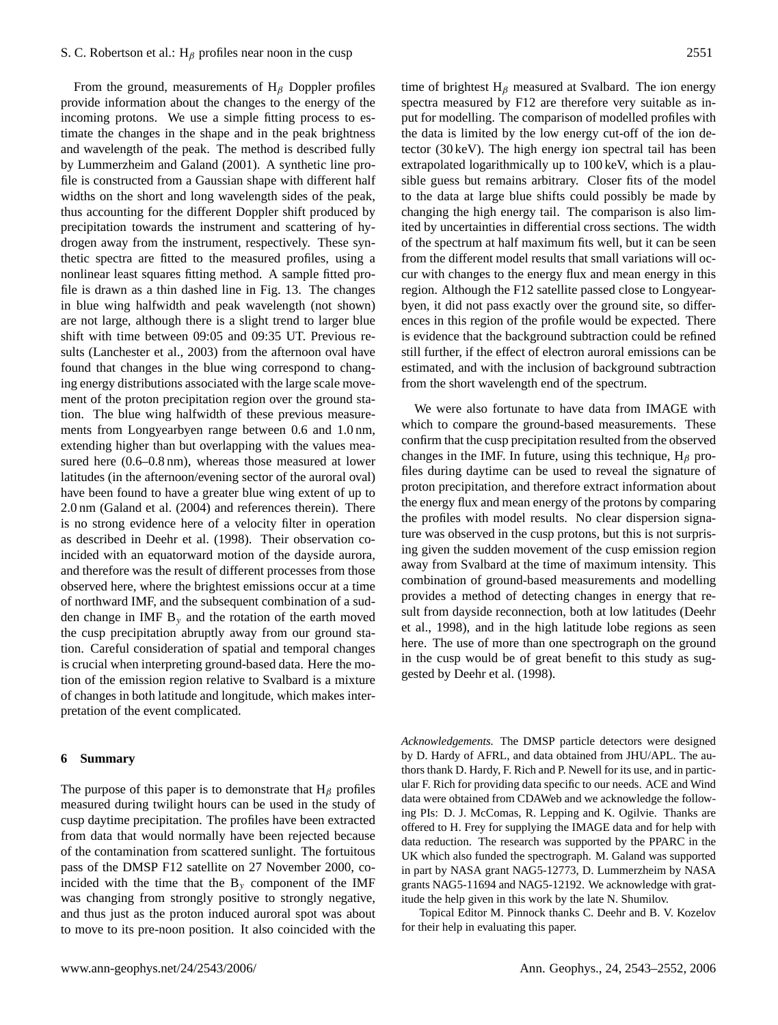From the ground, measurements of  $H_\beta$  Doppler profiles provide information about the changes to the energy of the incoming protons. We use a simple fitting process to estimate the changes in the shape and in the peak brightness and wavelength of the peak. The method is described fully by [Lummerzheim and Galand](#page-9-0) [\(2001\)](#page-9-0). A synthetic line profile is constructed from a Gaussian shape with different half widths on the short and long wavelength sides of the peak, thus accounting for the different Doppler shift produced by precipitation towards the instrument and scattering of hydrogen away from the instrument, respectively. These synthetic spectra are fitted to the measured profiles, using a nonlinear least squares fitting method. A sample fitted profile is drawn as a thin dashed line in Fig. [13.](#page-7-0) The changes in blue wing halfwidth and peak wavelength (not shown) are not large, although there is a slight trend to larger blue shift with time between 09:05 and 09:35 UT. Previous results [\(Lanchester et al.,](#page-9-12) [2003\)](#page-9-12) from the afternoon oval have found that changes in the blue wing correspond to changing energy distributions associated with the large scale movement of the proton precipitation region over the ground station. The blue wing halfwidth of these previous measurements from Longyearbyen range between 0.6 and 1.0 nm, extending higher than but overlapping with the values measured here (0.6–0.8 nm), whereas those measured at lower latitudes (in the afternoon/evening sector of the auroral oval) have been found to have a greater blue wing extent of up to 2.0 nm [\(Galand et al.](#page-9-13) [\(2004\)](#page-9-13) and references therein). There is no strong evidence here of a velocity filter in operation as described in [Deehr et al.](#page-9-8) [\(1998\)](#page-9-8). Their observation coincided with an equatorward motion of the dayside aurora, and therefore was the result of different processes from those observed here, where the brightest emissions occur at a time of northward IMF, and the subsequent combination of a sudden change in IMF  $B<sub>v</sub>$  and the rotation of the earth moved the cusp precipitation abruptly away from our ground station. Careful consideration of spatial and temporal changes is crucial when interpreting ground-based data. Here the motion of the emission region relative to Svalbard is a mixture of changes in both latitude and longitude, which makes interpretation of the event complicated.

## **6 Summary**

The purpose of this paper is to demonstrate that  $H_\beta$  profiles measured during twilight hours can be used in the study of cusp daytime precipitation. The profiles have been extracted from data that would normally have been rejected because of the contamination from scattered sunlight. The fortuitous pass of the DMSP F12 satellite on 27 November 2000, coincided with the time that the  $B_y$  component of the IMF was changing from strongly positive to strongly negative, and thus just as the proton induced auroral spot was about to move to its pre-noon position. It also coincided with the

time of brightest  $H_\beta$  measured at Svalbard. The ion energy spectra measured by F12 are therefore very suitable as input for modelling. The comparison of modelled profiles with the data is limited by the low energy cut-off of the ion detector (30 keV). The high energy ion spectral tail has been extrapolated logarithmically up to 100 keV, which is a plausible guess but remains arbitrary. Closer fits of the model to the data at large blue shifts could possibly be made by changing the high energy tail. The comparison is also limited by uncertainties in differential cross sections. The width of the spectrum at half maximum fits well, but it can be seen from the different model results that small variations will occur with changes to the energy flux and mean energy in this region. Although the F12 satellite passed close to Longyearbyen, it did not pass exactly over the ground site, so differences in this region of the profile would be expected. There is evidence that the background subtraction could be refined still further, if the effect of electron auroral emissions can be estimated, and with the inclusion of background subtraction from the short wavelength end of the spectrum.

We were also fortunate to have data from IMAGE with which to compare the ground-based measurements. These confirm that the cusp precipitation resulted from the observed changes in the IMF. In future, using this technique,  $H_\beta$  profiles during daytime can be used to reveal the signature of proton precipitation, and therefore extract information about the energy flux and mean energy of the protons by comparing the profiles with model results. No clear dispersion signature was observed in the cusp protons, but this is not surprising given the sudden movement of the cusp emission region away from Svalbard at the time of maximum intensity. This combination of ground-based measurements and modelling provides a method of detecting changes in energy that result from dayside reconnection, both at low latitudes [\(Deehr](#page-9-8) [et al.,](#page-9-8) [1998\)](#page-9-8), and in the high latitude lobe regions as seen here. The use of more than one spectrograph on the ground in the cusp would be of great benefit to this study as suggested by [Deehr et al.](#page-9-8) [\(1998\)](#page-9-8).

*Acknowledgements.* The DMSP particle detectors were designed by D. Hardy of AFRL, and data obtained from JHU/APL. The authors thank D. Hardy, F. Rich and P. Newell for its use, and in particular F. Rich for providing data specific to our needs. ACE and Wind data were obtained from CDAWeb and we acknowledge the following PIs: D. J. McComas, R. Lepping and K. Ogilvie. Thanks are offered to H. Frey for supplying the IMAGE data and for help with data reduction. The research was supported by the PPARC in the UK which also funded the spectrograph. M. Galand was supported in part by NASA grant NAG5-12773, D. Lummerzheim by NASA grants NAG5-11694 and NAG5-12192. We acknowledge with gratitude the help given in this work by the late N. Shumilov.

Topical Editor M. Pinnock thanks C. Deehr and B. V. Kozelov for their help in evaluating this paper.